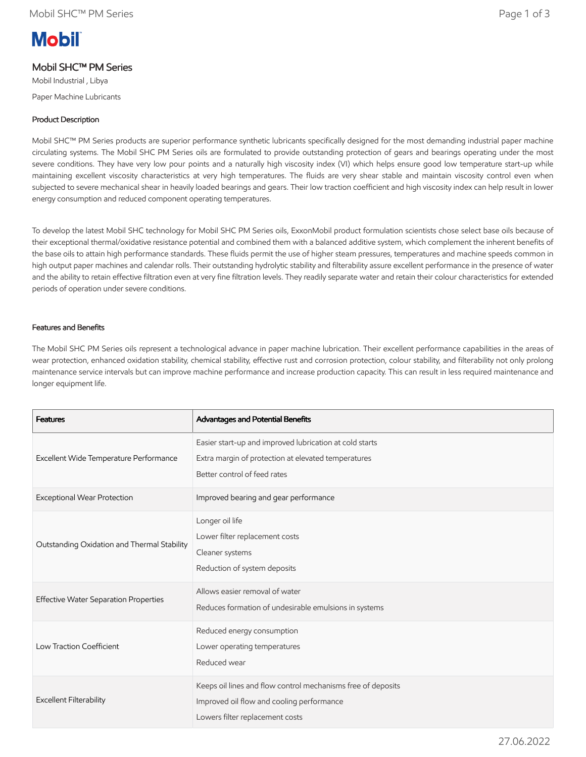# **Mobil**

## Mobil SHC™ PM Series

Mobil Industrial , Libya Paper Machine Lubricants

### Product Description

Mobil SHC™ PM Series products are superior performance synthetic lubricants specifically designed for the most demanding industrial paper machine circulating systems. The Mobil SHC PM Series oils are formulated to provide outstanding protection of gears and bearings operating under the most severe conditions. They have very low pour points and a naturally high viscosity index (VI) which helps ensure good low temperature start-up while maintaining excellent viscosity characteristics at very high temperatures. The fluids are very shear stable and maintain viscosity control even when subjected to severe mechanical shear in heavily loaded bearings and gears. Their low traction coefficient and high viscosity index can help result in lower energy consumption and reduced component operating temperatures.

To develop the latest Mobil SHC technology for Mobil SHC PM Series oils, ExxonMobil product formulation scientists chose select base oils because of their exceptional thermal/oxidative resistance potential and combined them with a balanced additive system, which complement the inherent benefits of the base oils to attain high performance standards. These fluids permit the use of higher steam pressures, temperatures and machine speeds common in high output paper machines and calendar rolls. Their outstanding hydrolytic stability and filterability assure excellent performance in the presence of water and the ability to retain effective filtration even at very fine filtration levels. They readily separate water and retain their colour characteristics for extended periods of operation under severe conditions.

#### Features and Benefits

The Mobil SHC PM Series oils represent a technological advance in paper machine lubrication. Their excellent performance capabilities in the areas of wear protection, enhanced oxidation stability, chemical stability, effective rust and corrosion protection, colour stability, and filterability not only prolong maintenance service intervals but can improve machine performance and increase production capacity. This can result in less required maintenance and longer equipment life.

| <b>Features</b>                              | Advantages and Potential Benefits                                                                                                              |
|----------------------------------------------|------------------------------------------------------------------------------------------------------------------------------------------------|
| Excellent Wide Temperature Performance       | Easier start-up and improved lubrication at cold starts<br>Extra margin of protection at elevated temperatures<br>Better control of feed rates |
| Exceptional Wear Protection                  | Improved bearing and gear performance                                                                                                          |
| Outstanding Oxidation and Thermal Stability  | Longer oil life<br>Lower filter replacement costs<br>Cleaner systems<br>Reduction of system deposits                                           |
| <b>Effective Water Separation Properties</b> | Allows easier removal of water<br>Reduces formation of undesirable emulsions in systems                                                        |
| Low Traction Coefficient                     | Reduced energy consumption<br>Lower operating temperatures<br>Reduced wear                                                                     |
| <b>Excellent Filterability</b>               | Keeps oil lines and flow control mechanisms free of deposits<br>Improved oil flow and cooling performance<br>Lowers filter replacement costs   |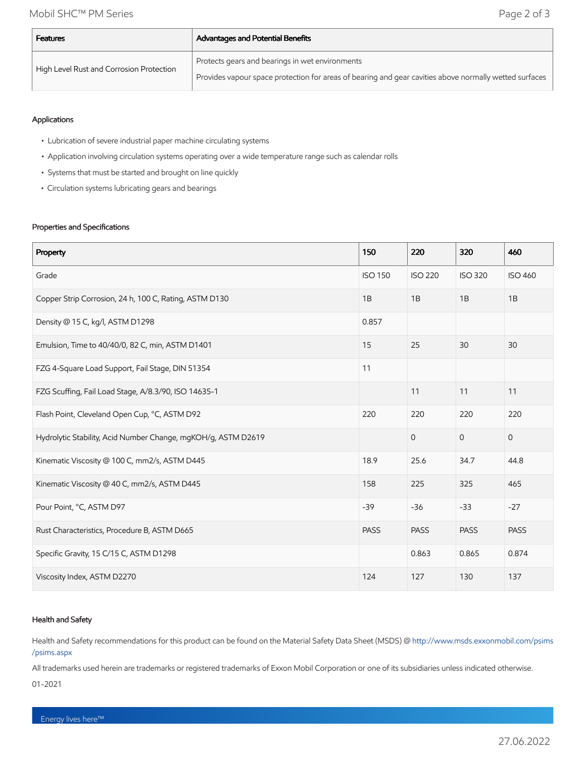| <b>Features</b>                          | <b>Advantages and Potential Benefits</b>                                                               |  |  |  |
|------------------------------------------|--------------------------------------------------------------------------------------------------------|--|--|--|
| High Level Rust and Corrosion Protection | Protects gears and bearings in wet environments                                                        |  |  |  |
|                                          | Provides vapour space protection for areas of bearing and gear cavities above normally wetted surfaces |  |  |  |

#### Applications

- Lubrication of severe industrial paper machine circulating systems
- Application involving circulation systems operating over a wide temperature range such as calendar rolls
- Systems that must be started and brought on line quickly
- Circulation systems lubricating gears and bearings

#### Properties and Specifications

| Property                                                      | 150            | 220            | 320            | 460            |
|---------------------------------------------------------------|----------------|----------------|----------------|----------------|
| Grade                                                         | <b>ISO 150</b> | <b>ISO 220</b> | <b>ISO 320</b> | <b>ISO 460</b> |
| Copper Strip Corrosion, 24 h, 100 C, Rating, ASTM D130        | 1B             | 1B             | 1B             | 1B             |
| Density @ 15 C, kg/l, ASTM D1298                              | 0.857          |                |                |                |
| Emulsion, Time to 40/40/0, 82 C, min, ASTM D1401              | 15             | 25             | 30             | 30             |
| FZG 4-Square Load Support, Fail Stage, DIN 51354              | 11             |                |                |                |
| FZG Scuffing, Fail Load Stage, A/8.3/90, ISO 14635-1          |                | 11             | 11             | 11             |
| Flash Point, Cleveland Open Cup, °C, ASTM D92                 | 220            | 220            | 220            | 220            |
| Hydrolytic Stability, Acid Number Change, mgKOH/g, ASTM D2619 |                | $\overline{0}$ | $\mathbf{O}$   | $\mathbf{0}$   |
| Kinematic Viscosity @ 100 C, mm2/s, ASTM D445                 | 18.9           | 25.6           | 34.7           | 44.8           |
| Kinematic Viscosity @ 40 C, mm2/s, ASTM D445                  | 158            | 225            | 325            | 465            |
| Pour Point, °C, ASTM D97                                      | $-39$          | $-36$          | $-33$          | $-27$          |
| Rust Characteristics, Procedure B, ASTM D665                  | <b>PASS</b>    | <b>PASS</b>    | <b>PASS</b>    | <b>PASS</b>    |
| Specific Gravity, 15 C/15 C, ASTM D1298                       |                | 0.863          | 0.865          | 0.874          |
| Viscosity Index, ASTM D2270                                   | 124            | 127            | 130            | 137            |

#### Health and Safety

Health and Safety recommendations for this product can be found on the Material Safety Data Sheet (MSDS) @ [http://www.msds.exxonmobil.com/psims](http://www.msds.exxonmobil.com/psims/psims.aspx) /psims.aspx

All trademarks used herein are trademarks or registered trademarks of Exxon Mobil Corporation or one of its subsidiaries unless indicated otherwise.

01-2021